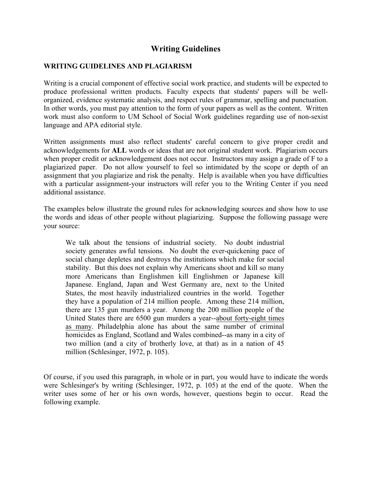# **Writing Guidelines**

## **WRITING GUIDELINES AND PLAGIARISM**

Writing is a crucial component of effective social work practice, and students will be expected to produce professional written products. Faculty expects that students' papers will be wellorganized, evidence systematic analysis, and respect rules of grammar, spelling and punctuation. In other words, you must pay attention to the form of your papers as well as the content. Written work must also conform to UM School of Social Work guidelines regarding use of non-sexist language and APA editorial style.

Written assignments must also reflect students' careful concern to give proper credit and acknowledgements for **ALL** words or ideas that are not original student work. Plagiarism occurs when proper credit or acknowledgement does not occur. Instructors may assign a grade of F to a plagiarized paper. Do not allow yourself to feel so intimidated by the scope or depth of an assignment that you plagiarize and risk the penalty. Help is available when you have difficulties with a particular assignment-your instructors will refer you to the Writing Center if you need additional assistance.

The examples below illustrate the ground rules for acknowledging sources and show how to use the words and ideas of other people without plagiarizing. Suppose the following passage were your source:

We talk about the tensions of industrial society. No doubt industrial society generates awful tensions. No doubt the ever-quickening pace of social change depletes and destroys the institutions which make for social stability. But this does not explain why Americans shoot and kill so many more Americans than Englishmen kill Englishmen or Japanese kill Japanese. England, Japan and West Germany are, next to the United States, the most heavily industrialized countries in the world. Together they have a population of 214 million people. Among these 214 million, there are 135 gun murders a year. Among the 200 million people of the United States there are 6500 gun murders a year--about forty-eight times as many. Philadelphia alone has about the same number of criminal homicides as England, Scotland and Wales combined--as many in a city of two million (and a city of brotherly love, at that) as in a nation of 45 million (Schlesinger, 1972, p. 105).

Of course, if you used this paragraph, in whole or in part, you would have to indicate the words were Schlesinger's by writing (Schlesinger, 1972, p. 105) at the end of the quote. When the writer uses some of her or his own words, however, questions begin to occur. Read the following example.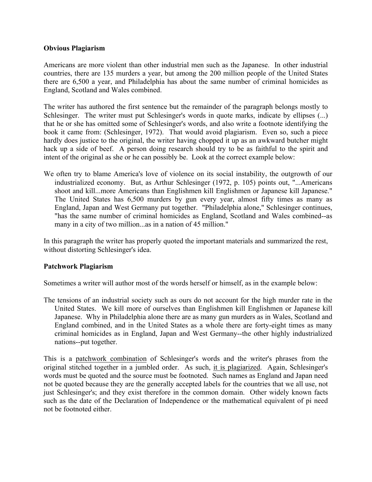## **Obvious Plagiarism**

Americans are more violent than other industrial men such as the Japanese. In other industrial countries, there are 135 murders a year, but among the 200 million people of the United States there are 6,500 a year, and Philadelphia has about the same number of criminal homicides as England, Scotland and Wales combined.

The writer has authored the first sentence but the remainder of the paragraph belongs mostly to Schlesinger. The writer must put Schlesinger's words in quote marks, indicate by ellipses (...) that he or she has omitted some of Schlesinger's words, and also write a footnote identifying the book it came from: (Schlesinger, 1972). That would avoid plagiarism. Even so, such a piece hardly does justice to the original, the writer having chopped it up as an awkward butcher might hack up a side of beef. A person doing research should try to be as faithful to the spirit and intent of the original as she or he can possibly be. Look at the correct example below:

We often try to blame America's love of violence on its social instability, the outgrowth of our industrialized economy. But, as Arthur Schlesinger (1972, p. 105) points out, "...Americans shoot and kill...more Americans than Englishmen kill Englishmen or Japanese kill Japanese." The United States has 6,500 murders by gun every year, almost fifty times as many as England, Japan and West Germany put together. "Philadelphia alone," Schlesinger continues, "has the same number of criminal homicides as England, Scotland and Wales combined--as many in a city of two million...as in a nation of 45 million."

In this paragraph the writer has properly quoted the important materials and summarized the rest, without distorting Schlesinger's idea.

## **Patchwork Plagiarism**

Sometimes a writer will author most of the words herself or himself, as in the example below:

The tensions of an industrial society such as ours do not account for the high murder rate in the United States. We kill more of ourselves than Englishmen kill Englishmen or Japanese kill Japanese. Why in Philadelphia alone there are as many gun murders as in Wales, Scotland and England combined, and in the United States as a whole there are forty-eight times as many criminal homicides as in England, Japan and West Germany--the other highly industrialized nations--put together.

This is a patchwork combination of Schlesinger's words and the writer's phrases from the original stitched together in a jumbled order. As such, it is plagiarized. Again, Schlesinger's words must be quoted and the source must be footnoted. Such names as England and Japan need not be quoted because they are the generally accepted labels for the countries that we all use, not just Schlesinger's; and they exist therefore in the common domain. Other widely known facts such as the date of the Declaration of Independence or the mathematical equivalent of pi need not be footnoted either.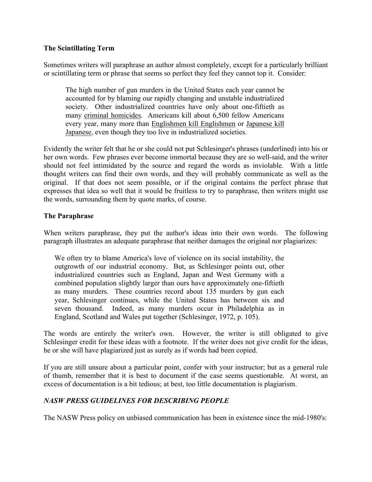## **The Scintillating Term**

Sometimes writers will paraphrase an author almost completely, except for a particularly brilliant or scintillating term or phrase that seems so perfect they feel they cannot top it. Consider:

The high number of gun murders in the United States each year cannot be accounted for by blaming our rapidly changing and unstable industrialized society. Other industrialized countries have only about one-fiftieth as many criminal homicides. Americans kill about 6,500 fellow Americans every year, many more than Englishmen kill Englishmen or Japanese kill Japanese, even though they too live in industrialized societies.

Evidently the writer felt that he or she could not put Schlesinger's phrases (underlined) into his or her own words. Few phrases ever become immortal because they are so well-said, and the writer should not feel intimidated by the source and regard the words as inviolable. With a little thought writers can find their own words, and they will probably communicate as well as the original. If that does not seem possible, or if the original contains the perfect phrase that expresses that idea so well that it would be fruitless to try to paraphrase, then writers might use the words, surrounding them by quote marks, of course.

## **The Paraphrase**

When writers paraphrase, they put the author's ideas into their own words. The following paragraph illustrates an adequate paraphrase that neither damages the original nor plagiarizes:

We often try to blame America's love of violence on its social instability, the outgrowth of our industrial economy. But, as Schlesinger points out, other industrialized countries such as England, Japan and West Germany with a combined population slightly larger than ours have approximately one-fiftieth as many murders. These countries record about 135 murders by gun each year, Schlesinger continues, while the United States has between six and seven thousand. Indeed, as many murders occur in Philadelphia as in England, Scotland and Wales put together (Schlesinger, 1972, p. 105).

The words are entirely the writer's own. However, the writer is still obligated to give Schlesinger credit for these ideas with a footnote. If the writer does not give credit for the ideas, he or she will have plagiarized just as surely as if words had been copied.

If you are still unsure about a particular point, confer with your instructor; but as a general rule of thumb, remember that it is best to document if the case seems questionable. At worst, an excess of documentation is a bit tedious; at best, too little documentation is plagiarism.

## *NASW PRESS GUIDELINES FOR DESCRIBING PEOPLE*

The NASW Press policy on unbiased communication has been in existence since the mid-1980's: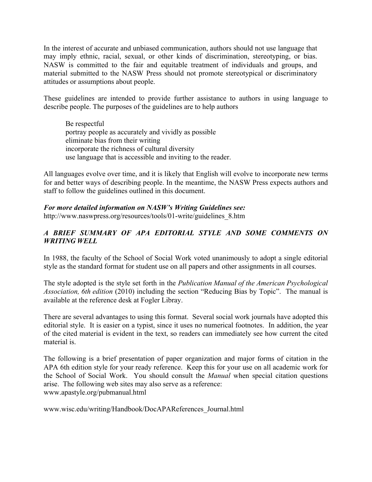In the interest of accurate and unbiased communication, authors should not use language that may imply ethnic, racial, sexual, or other kinds of discrimination, stereotyping, or bias. NASW is committed to the fair and equitable treatment of individuals and groups, and material submitted to the NASW Press should not promote stereotypical or discriminatory attitudes or assumptions about people.

These guidelines are intended to provide further assistance to authors in using language to describe people. The purposes of the guidelines are to help authors

Be respectful portray people as accurately and vividly as possible eliminate bias from their writing incorporate the richness of cultural diversity use language that is accessible and inviting to the reader.

All languages evolve over time, and it is likely that English will evolve to incorporate new terms for and better ways of describing people. In the meantime, the NASW Press expects authors and staff to follow the guidelines outlined in this document.

## *For more detailed information on NASW's Writing Guidelines see:*

http://www.naswpress.org/resources/tools/01-write/guidelines\_8.htm

## *A BRIEF SUMMARY OF APA EDITORIAL STYLE AND SOME COMMENTS ON WRITING WELL*

In 1988, the faculty of the School of Social Work voted unanimously to adopt a single editorial style as the standard format for student use on all papers and other assignments in all courses.

The style adopted is the style set forth in the *Publication Manual of the American Psychological Association, 6th edition* (2010) including the section "Reducing Bias by Topic". The manual is available at the reference desk at Fogler Libray.

There are several advantages to using this format. Several social work journals have adopted this editorial style. It is easier on a typist, since it uses no numerical footnotes. In addition, the year of the cited material is evident in the text, so readers can immediately see how current the cited material is.

The following is a brief presentation of paper organization and major forms of citation in the APA 6th edition style for your ready reference. Keep this for your use on all academic work for the School of Social Work. You should consult the *Manual* when special citation questions arise. The following web sites may also serve as a reference: www.apastyle.org/pubmanual.html

www.wisc.edu/writing/Handbook/DocAPAReferences\_Journal.html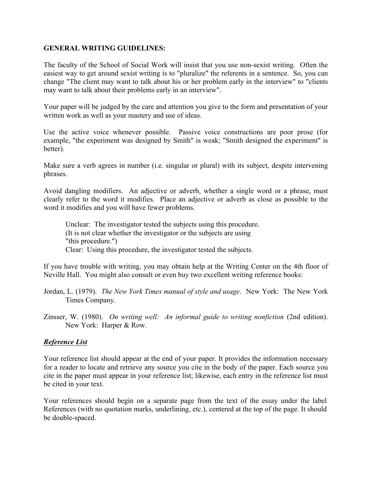## **GENERAL WRITING GUIDELINES:**

The faculty of the School of Social Work will insist that you use non-sexist writing. Often the easiest way to get around sexist writing is to "pluralize" the referents in a sentence. So, you can change "The client may want to talk about his or her problem early in the interview" to "clients may want to talk about their problems early in an interview".

Your paper will be judged by the care and attention you give to the form and presentation of your written work as well as your mastery and use of ideas.

Use the active voice whenever possible. Passive voice constructions are poor prose (for example, "the experiment was designed by Smith" is weak; "Smith designed the experiment" is better).

Make sure a verb agrees in number (i.e. singular or plural) with its subject, despite intervening phrases.

Avoid dangling modifiers. An adjective or adverb, whether a single word or a phrase, must clearly refer to the word it modifies. Place an adjective or adverb as close as possible to the word it modifies and you will have fewer problems.

Unclear: The investigator tested the subjects using this procedure. (It is not clear whether the investigator or the subjects are using "this procedure.") Clear: Using this procedure, the investigator tested the subjects.

If you have trouble with writing, you may obtain help at the Writing Center on the 4th floor of Neville Hall. You might also consult or even buy two excellent writing reference books:

- Jordan, L. (1979). *The New York Times manual of style and usage*. New York: The New York Times Company.
- Zinsser, W. (1980). *On writing well: An informal guide to writing nonfiction* (2nd edition). New York: Harper & Row.

## *Reference List*

Your reference list should appear at the end of your paper. It provides the information necessary for a reader to locate and retrieve any source you cite in the body of the paper. Each source you cite in the paper must appear in your reference list; likewise, each entry in the reference list must be cited in your text.

Your references should begin on a separate page from the text of the essay under the label References (with no quotation marks, underlining, etc.), centered at the top of the page. It should be double-spaced.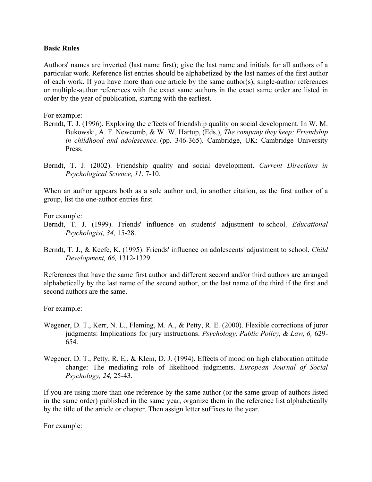## **Basic Rules**

Authors' names are inverted (last name first); give the last name and initials for all authors of a particular work. Reference list entries should be alphabetized by the last names of the first author of each work. If you have more than one article by the same author(s), single-author references or multiple-author references with the exact same authors in the exact same order are listed in order by the year of publication, starting with the earliest.

For example:

- Berndt, T. J. (1996). Exploring the effects of friendship quality on social development. In W. M. Bukowski, A. F. Newcomb, & W. W. Hartup, (Eds.), *The company they keep: Friendship in childhood and adolescence.* (pp. 346-365). Cambridge, UK: Cambridge University Press.
- Berndt, T. J. (2002). Friendship quality and social development. *Current Directions in Psychological Science, 11*, 7-10.

When an author appears both as a sole author and, in another citation, as the first author of a group, list the one-author entries first.

For example:

- Berndt, T. J. (1999). Friends' influence on students' adjustment to school. *Educational Psychologist, 34,* 15-28.
- Berndt, T. J., & Keefe, K. (1995). Friends' influence on adolescents' adjustment to school. *Child Development, 66,* 1312-1329.

References that have the same first author and different second and/or third authors are arranged alphabetically by the last name of the second author, or the last name of the third if the first and second authors are the same.

For example:

- Wegener, D. T., Kerr, N. L., Fleming, M. A., & Petty, R. E. (2000). Flexible corrections of juror judgments: Implications for jury instructions. *Psychology, Public Policy, & Law, 6,* 629- 654.
- Wegener, D. T., Petty, R. E., & Klein, D. J. (1994). Effects of mood on high elaboration attitude change: The mediating role of likelihood judgments. *European Journal of Social Psychology, 24,* 25-43.

If you are using more than one reference by the same author (or the same group of authors listed in the same order) published in the same year, organize them in the reference list alphabetically by the title of the article or chapter. Then assign letter suffixes to the year.

For example: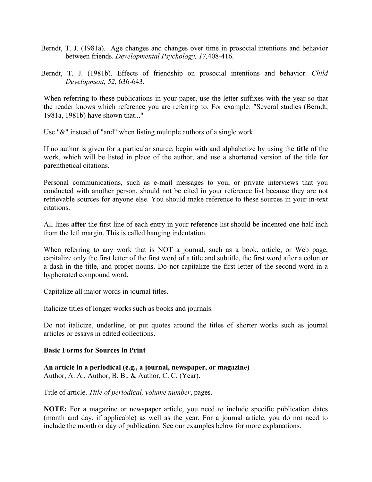- Berndt, T. J. (1981a). Age changes and changes over time in prosocial intentions and behavior between friends. *Developmental Psychology, 17,*408-416.
- Berndt, T. J. (1981b). Effects of friendship on prosocial intentions and behavior. *Child Development, 52,* 636-643.

When referring to these publications in your paper, use the letter suffixes with the year so that the reader knows which reference you are referring to. For example: "Several studies (Berndt, 1981a, 1981b) have shown that..."

Use "&" instead of "and" when listing multiple authors of a single work.

If no author is given for a particular source, begin with and alphabetize by using the **title** of the work, which will be listed in place of the author, and use a shortened version of the title for parenthetical citations.

Personal communications, such as e-mail messages to you, or private interviews that you conducted with another person, should not be cited in your reference list because they are not retrievable sources for anyone else. You should make reference to these sources in your in-text citations.

All lines **after** the first line of each entry in your reference list should be indented one-half inch from the left margin. This is called hanging indentation.

When referring to any work that is NOT a journal, such as a book, article, or Web page, capitalize only the first letter of the first word of a title and subtitle, the first word after a colon or a dash in the title, and proper nouns. Do not capitalize the first letter of the second word in a hyphenated compound word.

Capitalize all major words in journal titles.

Italicize titles of longer works such as books and journals.

Do not italicize, underline, or put quotes around the titles of shorter works such as journal articles or essays in edited collections.

## **Basic Forms for Sources in Print**

**An article in a periodical (e.g., a journal, newspaper, or magazine)** Author, A. A., Author, B. B., & Author, C. C. (Year).

Title of article. *Title of periodical, volume number*, pages.

**NOTE:** For a magazine or newspaper article, you need to include specific publication dates (month and day, if applicable) as well as the year. For a journal article, you do not need to include the month or day of publication. See our examples below for more explanations.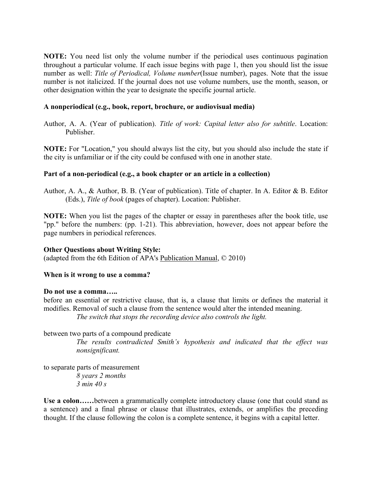**NOTE:** You need list only the volume number if the periodical uses continuous pagination throughout a particular volume. If each issue begins with page 1, then you should list the issue number as well: *Title of Periodical, Volume number*(Issue number), pages. Note that the issue number is not italicized. If the journal does not use volume numbers, use the month, season, or other designation within the year to designate the specific journal article.

## **A nonperiodical (e.g., book, report, brochure, or audiovisual media)**

Author, A. A. (Year of publication). *Title of work: Capital letter also for subtitle*. Location: Publisher.

**NOTE:** For "Location," you should always list the city, but you should also include the state if the city is unfamiliar or if the city could be confused with one in another state.

## **Part of a non-periodical (e.g., a book chapter or an article in a collection)**

Author, A. A., & Author, B. B. (Year of publication). Title of chapter. In A. Editor & B. Editor (Eds.), *Title of book* (pages of chapter). Location: Publisher.

**NOTE:** When you list the pages of the chapter or essay in parentheses after the book title, use "pp." before the numbers: (pp. 1-21). This abbreviation, however, does not appear before the page numbers in periodical references.

## **Other Questions about Writing Style:**

(adapted from the 6th Edition of APA's Publication Manual, © 2010)

## **When is it wrong to use a comma?**

## **Do not use a comma…..**

before an essential or restrictive clause, that is, a clause that limits or defines the material it modifies. Removal of such a clause from the sentence would alter the intended meaning. *The switch that stops the recording device also controls the light.* 

## between two parts of a compound predicate

*The results contradicted Smith's hypothesis and indicated that the effect was nonsignificant.* 

to separate parts of measurement *8 years 2 months 3 min 40 s*

**Use a colon……**between a grammatically complete introductory clause (one that could stand as a sentence) and a final phrase or clause that illustrates, extends, or amplifies the preceding thought. If the clause following the colon is a complete sentence, it begins with a capital letter.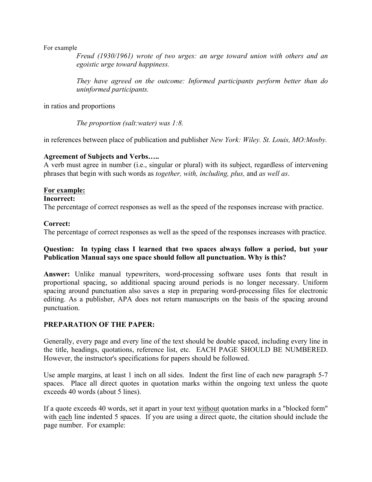For example

*Freud (1930/1961) wrote of two urges: an urge toward union with others and an egoistic urge toward happiness.* 

*They have agreed on the outcome: Informed participants perform better than do uninformed participants.* 

in ratios and proportions

*The proportion (salt:water) was 1:8.* 

in references between place of publication and publisher *New York: Wiley. St. Louis, MO:Mosby.*

## **Agreement of Subjects and Verbs…..**

A verb must agree in number (i.e., singular or plural) with its subject, regardless of intervening phrases that begin with such words as *together, with, including, plus,* and *as well as*.

## **For example:**

## **Incorrect:**

The percentage of correct responses as well as the speed of the responses increase with practice.

## **Correct:**

The percentage of correct responses as well as the speed of the responses increases with practice.

## **Question: In typing class I learned that two spaces always follow a period, but your Publication Manual says one space should follow all punctuation. Why is this?**

**Answer:** Unlike manual typewriters, word-processing software uses fonts that result in proportional spacing, so additional spacing around periods is no longer necessary. Uniform spacing around punctuation also saves a step in preparing word-processing files for electronic editing. As a publisher, APA does not return manuscripts on the basis of the spacing around punctuation.

## **PREPARATION OF THE PAPER:**

Generally, every page and every line of the text should be double spaced, including every line in the title, headings, quotations, reference list, etc. EACH PAGE SHOULD BE NUMBERED. However, the instructor's specifications for papers should be followed.

Use ample margins, at least 1 inch on all sides. Indent the first line of each new paragraph 5-7 spaces. Place all direct quotes in quotation marks within the ongoing text unless the quote exceeds 40 words (about 5 lines).

If a quote exceeds 40 words, set it apart in your text without quotation marks in a "blocked form" with each line indented 5 spaces. If you are using a direct quote, the citation should include the page number. For example: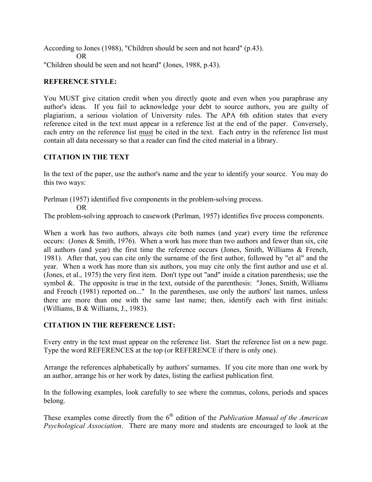According to Jones (1988), "Children should be seen and not heard" (p.43). OR "Children should be seen and not heard" (Jones, 1988, p.43).

## **REFERENCE STYLE:**

You MUST give citation credit when you directly quote and even when you paraphrase any author's ideas. If you fail to acknowledge your debt to source authors, you are guilty of plagiarism, a serious violation of University rules. The APA 6th edition states that every reference cited in the text must appear in a reference list at the end of the paper. Conversely, each entry on the reference list must be cited in the text. Each entry in the reference list must contain all data necessary so that a reader can find the cited material in a library.

## **CITATION IN THE TEXT**

In the text of the paper, use the author's name and the year to identify your source. You may do this two ways:

Perlman (1957) identified five components in the problem-solving process.

OR

The problem-solving approach to casework (Perlman, 1957) identifies five process components.

When a work has two authors, always cite both names (and year) every time the reference occurs: (Jones & Smith, 1976). When a work has more than two authors and fewer than six, cite all authors (and year) the first time the reference occurs (Jones, Smith, Williams & French, 1981). After that, you can cite only the surname of the first author, followed by "et al" and the year. When a work has more than six authors, you may cite only the first author and use et al. (Jones, et al., 1975) the very first item. Don't type out "and" inside a citation parenthesis; use the symbol  $\&$ . The opposite is true in the text, outside of the parenthesis: "Jones, Smith, Williams and French (1981) reported on..." In the parentheses, use only the authors' last names, unless there are more than one with the same last name; then, identify each with first initials: (Williams, B & Williams, J., 1983).

## **CITATION IN THE REFERENCE LIST:**

Every entry in the text must appear on the reference list. Start the reference list on a new page. Type the word REFERENCES at the top (or REFERENCE if there is only one).

Arrange the references alphabetically by authors' surnames. If you cite more than one work by an author, arrange his or her work by dates, listing the earliest publication first.

In the following examples, look carefully to see where the commas, colons, periods and spaces belong.

These examples come directly from the 6<sup>th</sup> edition of the *Publication Manual of the American Psychological Association*. There are many more and students are encouraged to look at the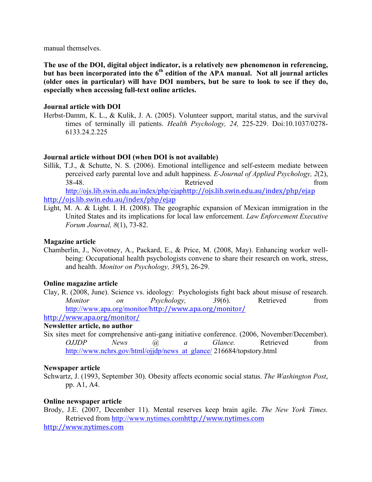manual themselves.

**The use of the DOI, digital object indicator, is a relatively new phenomenon in referencing,**  but has been incorporated into the 6<sup>th</sup> edition of the APA manual. Not all journal articles **(older ones in particular) will have DOI numbers, but be sure to look to see if they do, especially when accessing full-text online articles.**

#### **Journal article with DOI**

Herbst-Damm, K. L., & Kulik, J. A. (2005). Volunteer support, marital status, and the survival times of terminally ill patients. *Health Psychology, 24,* 225-229. Doi:10.1037/0278- 6133.24.2.225

## **Journal article without DOI (when DOI is not available)**

Sillik, T.J., & Schutte, N. S. (2006). Emotional intelligence and self-esteem mediate between perceived early parental love and adult happiness. *E-Journal of Applied Psychology, 2*(2), 38-48. Retrieved from http://ojs.lib.swin.edu.au/index/php/ejaphttp://ojs.lib.swin.edu.au/index/php/ejap

http://ojs.lib.swin.edu.au/index/php/ejap

Light, M. A. & Light. I. H. (2008). The geographic expansion of Mexican immigration in the United States and its implications for local law enforcement. *Law Enforcement Executive Forum Journal, 8*(1), 73-82.

#### **Magazine article**

Chamberlin, J., Novotney, A., Packard, E., & Price, M. (2008, May). Enhancing worker wellbeing: Occupational health psychologists convene to share their research on work, stress, and health. *Monitor on Psychology, 39*(5), 26-29.

## **Online magazine article**

Clay, R. (2008, June). Science vs. ideology: Psychologists fight back about misuse of research. *Monitor on Psychology, 39*(6). Retrieved from http://www.apa.org/monitor/http://www.apa.org/monitor/

http://www.apa.org/monitor/

#### **Newsletter article, no author**

Six sites meet for comprehensive anti-gang initiative conference. (2006, November/December). *OJJDP News* @ a Glance. Retrieved from http://www.nchrs.gov/html/ojjdp/news\_at\_glance/ 216684/topstory.html

#### **Newspaper article**

Schwartz, J. (1993, September 30). Obesity affects economic social status. *The Washington Post*, pp. A1, A4.

#### **Online newspaper article**

Brody, J.E. (2007, December 11). Mental reserves keep brain agile. *The New York Times.*  Retrieved from http://www.nytimes.comhttp://www.nytimes.com http://www.nytimes.com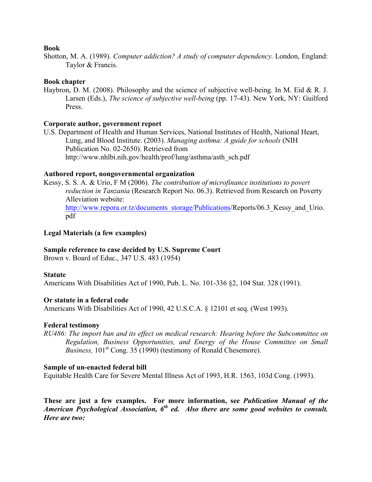#### **Book**

Shotton, M. A. (1989). *Computer addiction? A study of computer dependency*. London, England: Taylor & Francis.

## **Book chapter**

Haybron, D. M. (2008). Philosophy and the science of subjective well-being. In M. Eid & R. J. Larsen (Eds.), *The science of subjective well-being* (pp. 17-43). New York, NY: Guilford Press.

## **Corporate author, government report**

U.S. Department of Health and Human Services, National Institutes of Health, National Heart, Lung, and Blood Institute. (2003). *Managing asthma: A guide for schools* (NIH Publication No. 02-2650). Retrieved from http://www.nhlbi.nih.gov/health/prof/lung/asthma/asth\_sch.pdf

#### **Authored report, nongovernmental organization**

Kessy, S. S. A. & Urio, F M (2006). *The contribution of microfinance institutions to povert reduction in Tanzania* (Research Report No. 06.3). Retrieved from Research on Poverty Alleviation website: http://www.repora.or.tz/documents\_storage/Publications/Reports/06.3\_Kessy\_and\_Urio. pdf

#### **Legal Materials (a few examples)**

## **Sample reference to case decided by U.S. Supreme Court**

Brown v. Board of Educ., 347 U.S. 483 (1954)

#### **Statute**

Americans With Disabilities Act of 1990, Pub. L. No. 101-336 §2, 104 Stat. 328 (1991).

#### **Or statute in a federal code**

Americans With Disabilities Act of 1990, 42 U.S.C.A. § 12101 et seq. (West 1993).

#### **Federal testimony**

*RU486: The import ban and its effect on medical research: Hearing before the Subcommittee on Regulation, Business Opportunities, and Energy of the House Committee on Small Business,* 101<sup>st</sup> Cong. 35 (1990) (testimony of Ronald Chesemore).

#### **Sample of un-enacted federal bill**

Equitable Health Care for Severe Mental Illness Act of 1993, H.R. 1563, 103d Cong. (1993).

**These are just a few examples. For more information, see** *Publication Manual of the American Psychological Association, 6th ed. Also there are some good websites to consult. Here are two:*